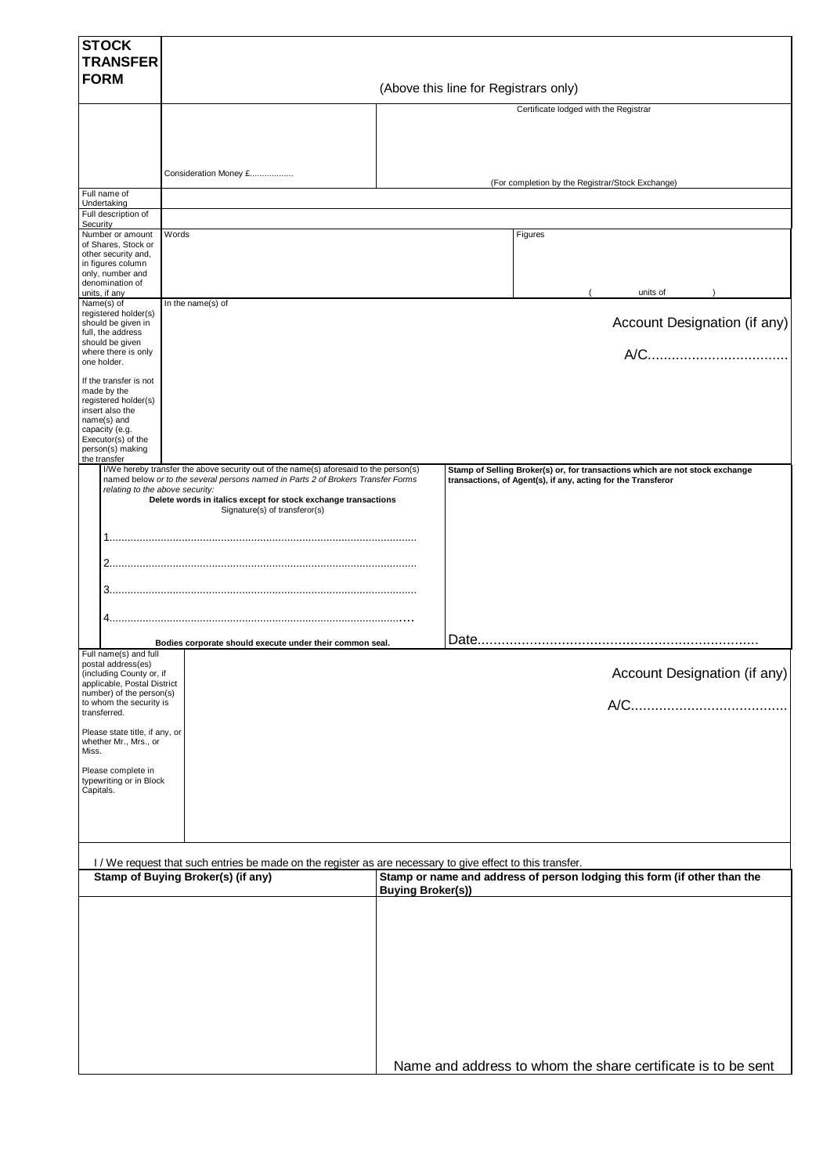| <b>STOCK</b><br><b>TRANSFER</b>                                                                                                           |                                                                                                                                                                                                                                                                                                                                          |                                                                                                                                                                              |
|-------------------------------------------------------------------------------------------------------------------------------------------|------------------------------------------------------------------------------------------------------------------------------------------------------------------------------------------------------------------------------------------------------------------------------------------------------------------------------------------|------------------------------------------------------------------------------------------------------------------------------------------------------------------------------|
| <b>FORM</b>                                                                                                                               |                                                                                                                                                                                                                                                                                                                                          |                                                                                                                                                                              |
|                                                                                                                                           |                                                                                                                                                                                                                                                                                                                                          | (Above this line for Registrars only)                                                                                                                                        |
|                                                                                                                                           |                                                                                                                                                                                                                                                                                                                                          | Certificate lodged with the Registrar                                                                                                                                        |
|                                                                                                                                           | Consideration Money £                                                                                                                                                                                                                                                                                                                    |                                                                                                                                                                              |
| Full name of                                                                                                                              |                                                                                                                                                                                                                                                                                                                                          | (For completion by the Registrar/Stock Exchange)                                                                                                                             |
| Undertaking<br>Full description of<br>Security                                                                                            |                                                                                                                                                                                                                                                                                                                                          |                                                                                                                                                                              |
| Number or amount                                                                                                                          | Words                                                                                                                                                                                                                                                                                                                                    | Figures                                                                                                                                                                      |
| of Shares, Stock or<br>other security and,<br>in figures column<br>only, number and<br>denomination of                                    |                                                                                                                                                                                                                                                                                                                                          |                                                                                                                                                                              |
| units, if any<br>Name(s) of                                                                                                               | In the name(s) of                                                                                                                                                                                                                                                                                                                        | units of                                                                                                                                                                     |
| registered holder(s)<br>should be given in<br>full, the address                                                                           |                                                                                                                                                                                                                                                                                                                                          | Account Designation (if any)                                                                                                                                                 |
| should be given<br>where there is only<br>one holder.                                                                                     |                                                                                                                                                                                                                                                                                                                                          |                                                                                                                                                                              |
| If the transfer is not<br>made by the<br>registered holder(s)<br>insert also the                                                          |                                                                                                                                                                                                                                                                                                                                          |                                                                                                                                                                              |
| name(s) and<br>capacity (e.g.<br>Executor(s) of the<br>person(s) making<br>the transfer                                                   |                                                                                                                                                                                                                                                                                                                                          |                                                                                                                                                                              |
| relating to the above security:<br>Full name(s) and full<br>postal address(es)<br>(including County or, if<br>applicable, Postal District | I/We hereby transfer the above security out of the name(s) aforesaid to the person(s)<br>named below or to the several persons named in Parts 2 of Brokers Transfer Forms<br>Delete words in italics except for stock exchange transactions<br>Signature(s) of transferor(s)<br>Bodies corporate should execute under their common seal. | Stamp of Selling Broker(s) or, for transactions which are not stock exchange<br>transactions, of Agent(s), if any, acting for the Transferor<br>Account Designation (if any) |
| number) of the person(s)<br>to whom the security is<br>transferred.<br>Please state title, if any, or<br>whether Mr., Mrs., or            |                                                                                                                                                                                                                                                                                                                                          | $A/C$                                                                                                                                                                        |
| Miss.<br>Please complete in<br>typewriting or in Block<br>Capitals.                                                                       |                                                                                                                                                                                                                                                                                                                                          |                                                                                                                                                                              |
|                                                                                                                                           | I / We request that such entries be made on the register as are necessary to give effect to this transfer.                                                                                                                                                                                                                               |                                                                                                                                                                              |
|                                                                                                                                           | Stamp of Buying Broker(s) (if any)                                                                                                                                                                                                                                                                                                       | Stamp or name and address of person lodging this form (if other than the<br><b>Buying Broker(s))</b>                                                                         |
|                                                                                                                                           |                                                                                                                                                                                                                                                                                                                                          |                                                                                                                                                                              |
|                                                                                                                                           |                                                                                                                                                                                                                                                                                                                                          | Name and address to whom the share certificate is to be sent                                                                                                                 |